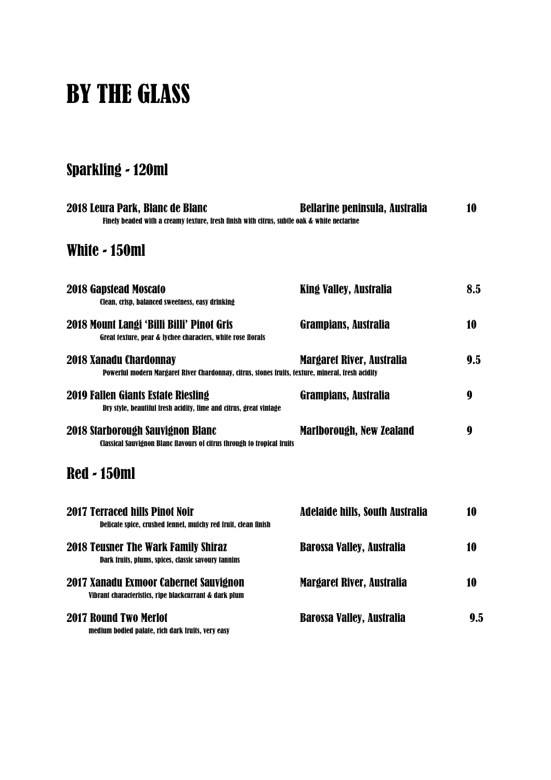# BY THE GLASS

# Sparkling - 120ml

| 2018 Leura Park, Blanc de Blanc<br>Finely beaded with a creamy texture, fresh finish with citrus, subtle oak & white nectarine | <b>Bellarine peninsula, Australia</b>  | 10  |
|--------------------------------------------------------------------------------------------------------------------------------|----------------------------------------|-----|
| White - 150ml                                                                                                                  |                                        |     |
| <b>2018 Gapstead Moscato</b><br>Clean, crisp, balanced sweetness, easy drinking                                                | <b>King Valley, Australia</b>          | 8.5 |
| 2018 Mount Langi 'Billi Billi' Pinot Gris<br>Great texture, pear & lychee characters, white rose florals                       | <b>Grampians, Australia</b>            | 10  |
| 2018 Xanadu Chardonnay<br>Powerful modern Margaret River Chardonnay, citrus, stones fruits, texture, mineral, fresh acidity    | Margaret River, Australia              | 9.5 |
| 2019 Fallen Giants Estate Riesling<br>Dry style, beautiful fresh acidity, lime and citrus, great vintage                       | <b>Grampians, Australia</b>            | 9   |
| 2018 Starborough Sauvignon Blanc<br><b>Classical Sauvignon Blanc flavours of citrus through to tropical fruits</b>             | <b>Marlborough, New Zealand</b>        | 9   |
| <b>Red - 150ml</b>                                                                                                             |                                        |     |
| <b>2017 Terraced hills Pinot Noir</b><br>Delicate spice, crushed fennel, mulchy red fruit, clean finish                        | <b>Adelaide hills, South Australia</b> | 10  |
| <b>2018 Teusner The Wark Family Shiraz</b><br>Dark fruits, plums, spices, classic savoury tannins                              | <b>Barossa Valley, Australia</b>       | 10  |
| 2017 Xanadu Exmoor Cabernet Sauvignon<br>Vibrant characteristics, ripe blackcurrant & dark plum                                | <b>Margaret River, Australia</b>       | 10  |
| <b>2017 Round Two Merlot</b><br>medium bodied palate, rich dark fruits, very easy                                              | <b>Barossa Valley, Australia</b>       | 9.5 |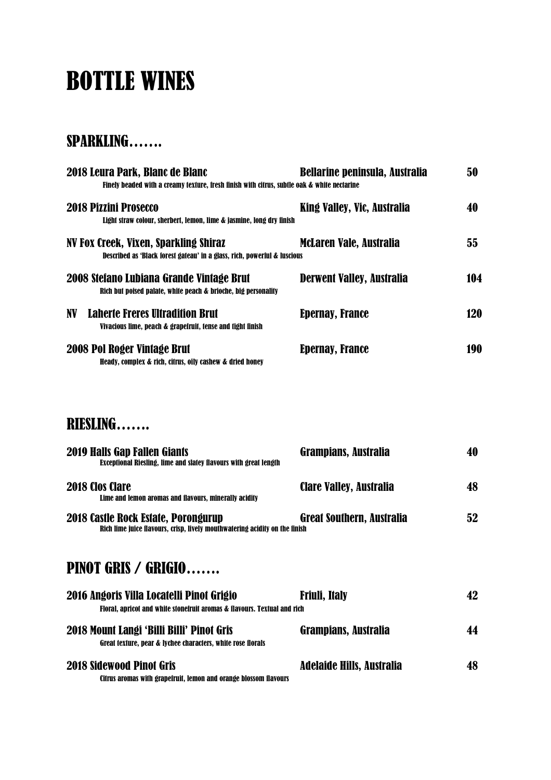# BOTTLE WINES

## SPARKLING…….

| 2018 Leura Park, Blanc de Blanc<br>Finely beaded with a creamy texture, fresh finish with citrus, subtle oak & white nectarine | <b>Bellarine peninsula, Australia</b> | 50         |
|--------------------------------------------------------------------------------------------------------------------------------|---------------------------------------|------------|
| <b>2018 Pizzini Prosecco</b><br>Light straw colour, sherbert, lemon, lime & jasmine, long dry finish                           | King Valley, Vic, Australia           | 40         |
| NV Fox Creek, Vixen, Sparkling Shiraz<br>Described as 'Black forest gateau' in a glass, rich, powerful & luscious              | <b>McLaren Vale, Australia</b>        | 55         |
| 2008 Stefano Lubiana Grande Vintage Brut<br>Rich but poised palate, white peach & brioche, big personality                     | <b>Derwent Valley, Australia</b>      | 104        |
| <b>Laherte Freres Ultradition Brut</b><br>NV.<br>Vivacious lime, peach & grapefruit, tense and tight finish                    | <b>Epernay, France</b>                | <b>120</b> |
| 2008 Pol Roger Vintage Brut<br>Heady, complex & rich, citrus, oily cashew & dried honey                                        | <b>Epernay, France</b>                | 190        |
| RIESLING                                                                                                                       |                                       |            |
| <b>2019 Halls Gap Fallen Giants</b><br>Exceptional Riesling, lime and slatey flavours with great length                        | Grampians, Australia                  | 40         |
| <b>2018 Clos Clare</b><br>Lime and lemon aromas and flavours, minerally acidity                                                | Clare Valley, Australia               | 48         |
| 2018 Castle Rock Estate, Porongurup<br>Rich lime juice flavours, crisp, lively mouthwatering acidity on the finish             | <b>Great Southern, Australia</b>      | 52         |
| <b>PINOT GRIS / GRIGIO</b>                                                                                                     |                                       |            |
| 2016 Angoris Villa Locatelli Pinot Grigio<br>Floral, apricot and white stonefruit aromas & flavours. Textual and rich          | <b>Friuli, Italy</b>                  | 42         |
| 2018 Mount Langi 'Billi Billi' Pinot Gris<br>Great texture, pear & lychee characters, white rose florals                       | <b>Grampians, Australia</b>           | 44         |
| <b>2018 Sidewood Pinot Gris</b><br>Citrus aromas with grapefruit, lemon and orange blossom flavours                            | <b>Adelaide Hills, Australia</b>      | 48         |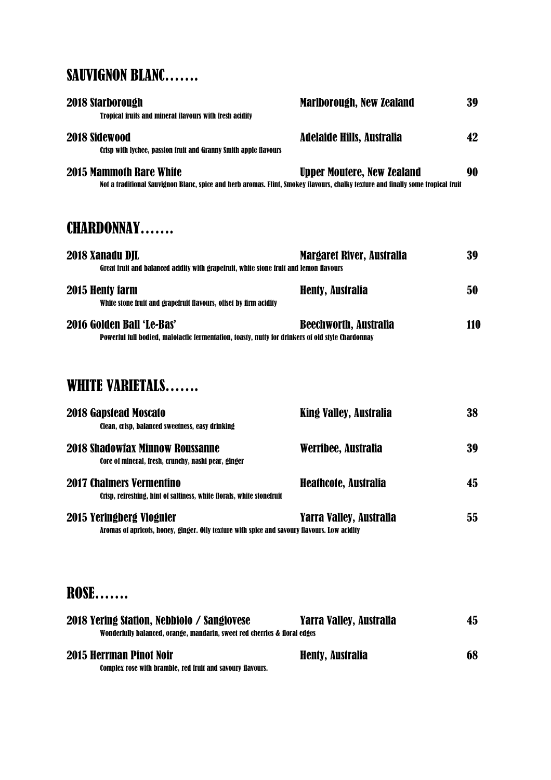## SAUVIGNON BLANC…….

| 2018 Starborough<br><b>Tropical fruits and mineral flavours with fresh acidity</b>                                                                                 | <b>Marlborough, New Zealand</b>   | 39  |
|--------------------------------------------------------------------------------------------------------------------------------------------------------------------|-----------------------------------|-----|
| 2018 Sidewood<br>Crisp with lychee, passion fruit and Granny Smith apple flavours                                                                                  | <b>Adelaide Hills, Australia</b>  | 42  |
| <b>2015 Mammoth Rare White</b><br>Not a traditional Sauvignon Blanc, spice and herb aromas. Flint, Smokey flavours, chalky texture and finally some tropical fruit | <b>Upper Moutere, New Zealand</b> | 90  |
| <b>CHARDONNAY</b>                                                                                                                                                  |                                   |     |
| 2018 Xanadu DJL<br>Great fruit and balanced acidity with grapefruit, white stone fruit and lemon flavours                                                          | Margaret River, Australia         | 39  |
| 2015 Henty farm<br>White stone fruit and grapefruit flavours, offset by firm acidity                                                                               | <b>Henty, Australia</b>           | 50  |
| 2016 Golden Ball 'Le-Bas'<br>Powerful full bodied, malolactic fermentation, toasty, nutty for drinkers of old style Chardonnay                                     | <b>Beechworth, Australia</b>      | 110 |
| WHITE VARIETALS                                                                                                                                                    |                                   |     |
| <b>2018 Gapstead Moscato</b>                                                                                                                                       | King Valley, Australia            | 38  |

| <b>Clean, crisp. balanced sweetness, easy drinking</b>                                                   |                         |    |
|----------------------------------------------------------------------------------------------------------|-------------------------|----|
| <b>2018 Shadowiax Minnow Roussanne</b><br>Core of mineral, fresh, crunchy, nashi pear, ginger            | Werribee, Australia     | 39 |
| <b>2017 Chalmers Vermentino</b><br>Crisp. refreshing. hint of saltiness. white florals. white stonefruit | Heathcote, Australia    | 45 |
| 2015 Yeringberg Viognier                                                                                 | Yarra Valley, Australia | 55 |

Aromas of apricots, honey, ginger. Oily texture with spice and savoury flavours. Low acidity

# ROSE…….

| 2018 Yering Station, Nebbiolo / Sangiovese                                | Yarra Valley, Australia | 45 |
|---------------------------------------------------------------------------|-------------------------|----|
| Wonderfully balanced, orange, mandarin, sweet red cherries & floral edges |                         |    |
| <b>2015 Herrman Pinot Noir</b>                                            | <b>Henty, Australia</b> | 68 |
| Complex rose with bramble, red fruit and savoury flavours.                |                         |    |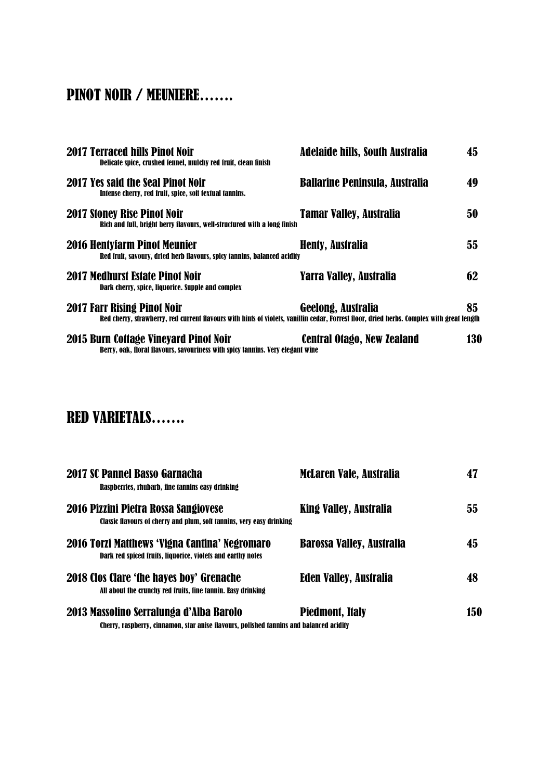# PINOT NOIR / MEUNIERE…….

| <b>2017 Terraced hills Pinot Noir</b><br>Delicate spice, crushed fennel, mulchy red fruit, clean finish                                                                  | <b>Adelaide hills, South Australia</b> | 45  |
|--------------------------------------------------------------------------------------------------------------------------------------------------------------------------|----------------------------------------|-----|
| 2017 Yes said the Seal Pinot Noir<br>Intense cherry, red fruit, spice, soft textual tannins.                                                                             | <b>Ballarine Peninsula, Australia</b>  | 49  |
| <b>2017 Stoney Rise Pinot Noir</b><br>Rich and full, bright berry flavours, well-structured with a long finish                                                           | <b>Tamar Valley, Australia</b>         | 50  |
| 2016 Hentyfarm Pinot Meunier<br>Red fruit, savoury, dried herb flavours, spicy tannins, balanced acidity                                                                 | <b>Henty, Australia</b>                | 55. |
| <b>2017 Medhurst Estate Pinot Noir</b><br>Dark cherry, spice, liquorice. Supple and complex                                                                              | Yarra Valley, Australia                | 62  |
| 2017 Farr Rising Pinot Noir<br>Red cherry, strawberry, red current flavours with hints of violets, vanillin cedar, Forrest floor, dried herbs. Complex with great length | Geelong, Australia                     | 85. |
| 2015 Burn Cottage Vineyard Pinot Noir<br>Berry, oak, floral flavours, savouriness with spicy tannins. Very elegant wine                                                  | Central Otago, New Zealand             | 130 |

# RED VARIETALS…….

| <b>2017 SC Pannel Basso Garnacha</b><br>Raspberries, rhubarb, fine tannins easy drinking                                       | <b>McLaren Vale, Australia</b>   | 47  |
|--------------------------------------------------------------------------------------------------------------------------------|----------------------------------|-----|
| 2016 Pizzini Pietra Rossa Sangiovese<br><b>Classic flavours of cherry and plum, soft tannins, very easy drinking</b>           | <b>King Valley, Australia</b>    | 55  |
| 2016 Torzi Matthews 'Vigna Cantina' Negromaro<br>Dark red spiced fruits, liquorice, violets and earthy notes                   | <b>Barossa Valley, Australia</b> | 45  |
| 2018 Clos Clare 'the hayes boy' Grenache<br>All about the crunchy red fruits, fine tannin. Easy drinking                       | <b>Eden Valley, Australia</b>    | 48  |
| 2013 Massolino Serralunga d'Alba Barolo<br>Cherry rasnherry cinnamon star-anise-flavours-nolished-tannins-and-halanced-acidity | <b>Piedmont, Italy</b>           | 150 |

Cherry, raspberry, cinnamon, star anise flavours, polished tannins and balanced acidity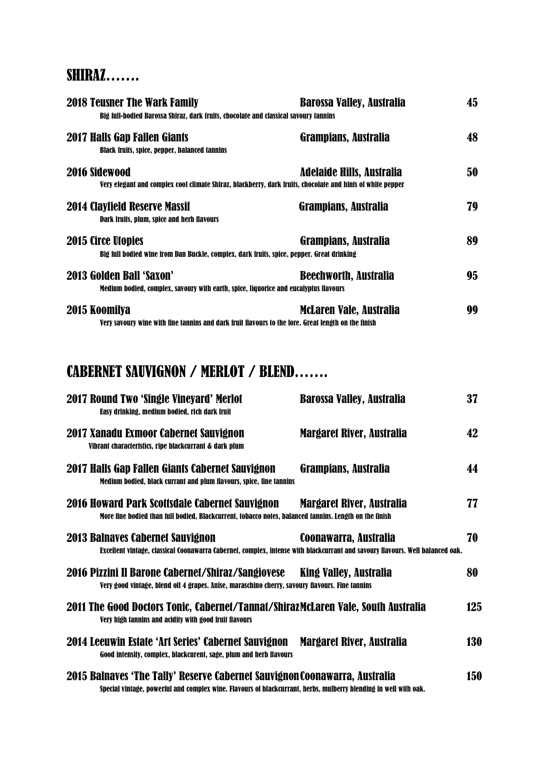## SHIRAZ…….

| <b>2018 Teusner The Wark Family</b><br>Big full-bodied Barossa Shiraz, dark fruits, chocolate and classical savoury tannins | <b>Barossa Valley, Australia</b> | 45 |
|-----------------------------------------------------------------------------------------------------------------------------|----------------------------------|----|
| <b>2017 Halls Gap Fallen Giants</b><br><b>Black fruits, spice, pepper, balanced tannins</b>                                 | <b>Grampians, Australia</b>      | 48 |
| 2016 Sidewood<br>Very elegant and complex cool climate Shiraz, blackberry, dark fruits, chocolate and hints of white pepper | Adelaide Hills, Australia        | 50 |
| <b>2014 Clayfield Reserve Massif</b><br>Dark fruits, plum, spice and herb flavours                                          | <b>Grampians, Australia</b>      | 79 |
| <b>2015 Circe Utopies</b><br>Big full bodied wine from Dan Buckle, complex, dark fruits, spice, pepper. Great drinking      | <b>Grampians, Australia</b>      | 89 |
| <b>2013 Golden Ball 'Saxon'</b><br>Medium bodied, complex, savoury with earth, spice, liquorice and eucalyptus flavours     | <b>Beechworth, Australia</b>     | 95 |
| 2015 Koomilya<br>Very savoury wine with fine tannins and dark fruit flavours to the fore. Great length on the finish        | <b>McLaren Vale, Australia</b>   | 99 |

# CABERNET SAUVIGNON / MERLOT / BLEND…….

| 2017 Round Two 'Single Vineyard' Merlot<br>Easy drinking, medium bodied, rich dark fruit                                                                                                       | <b>Barossa Valley, Australia</b> | 37  |
|------------------------------------------------------------------------------------------------------------------------------------------------------------------------------------------------|----------------------------------|-----|
| 2017 Xanadu Exmoor Cabernet Sauvignon<br>Vibrant characteristics, ripe blackcurrant & dark plum                                                                                                | <b>Margaret River, Australia</b> | 42  |
| 2017 Halls Gap Fallen Giants Cabernet Sauvignon<br>Medium bodied, black currant and plum flavours, spice, fine tannins                                                                         | <b>Grampians, Australia</b>      | 44  |
| 2016 Howard Park Scottsdale Cabernet Sauvignon<br>More fine bodied than full bodied, Blackcurrent, tobacco notes, balanced tannins. Length on the finish                                       | Margaret River, Australia        | 77  |
| <b>2013 Balnaves Cabernet Sauvignon</b><br>Excellent vintage, classical Coonawarra Cabernet, complex, intense with blackcurrant and savoury flavours. Well balanced oak.                       | Coonawarra, Australia            | 70  |
| 2016 Pizzini Il Barone Cabernet/Shiraz/Sangiovese<br>Very good vintage, blend off 4 grapes. Anise, maraschino cherry, savoury flavours. Fine tannins                                           | King Valley, Australia           | 80  |
| 2011 The Good Doctors Tonic, Cabernet/Tannat/ShirazMcLaren Vale, South Australia<br>Very high tannins and acidity with good fruit flavours                                                     |                                  | 125 |
| 2014 Leeuwin Estate 'Art Series' Cabernet Sauvignon<br>Good intensity, complex, blackcurent, sage, plum and herb flavours                                                                      | <b>Margaret River, Australia</b> | 130 |
| 2015 Balnaves 'The Tally' Reserve Cabernet Sauvignon Coonawarra, Australia<br>Special vintage, powerful and complex wine. Flavours of blackcurrant, herbs, mulberry blending in well with oak. |                                  | 150 |